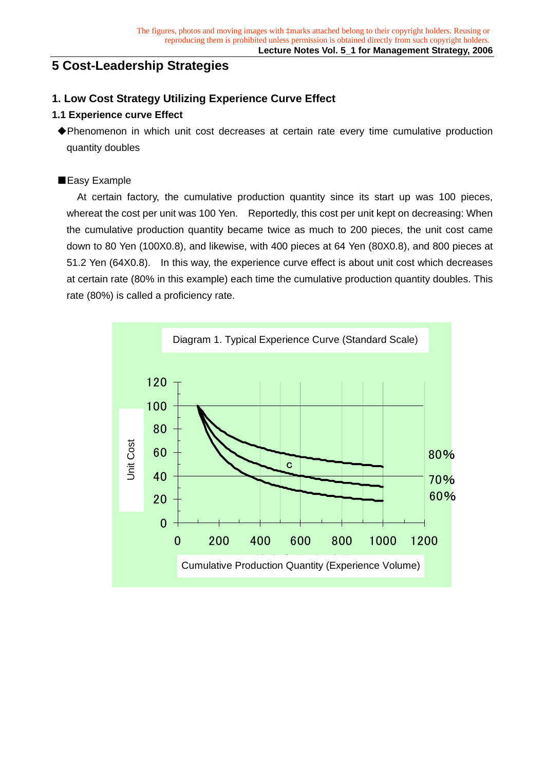# **5 Cost-Leadership Strategies**

## **1. Low Cost Strategy Utilizing Experience Curve Effect**

## **1.1 Experience curve Effect**

◆Phenomenon in which unit cost decreases at certain rate every time cumulative production quantity doubles

## ■Easy Example

 At certain factory, the cumulative production quantity since its start up was 100 pieces, whereat the cost per unit was 100 Yen. Reportedly, this cost per unit kept on decreasing: When the cumulative production quantity became twice as much to 200 pieces, the unit cost came down to 80 Yen (100X0.8), and likewise, with 400 pieces at 64 Yen (80X0.8), and 800 pieces at 51.2 Yen (64X0.8). In this way, the experience curve effect is about unit cost which decreases at certain rate (80% in this example) each time the cumulative production quantity doubles. This rate (80%) is called a proficiency rate.

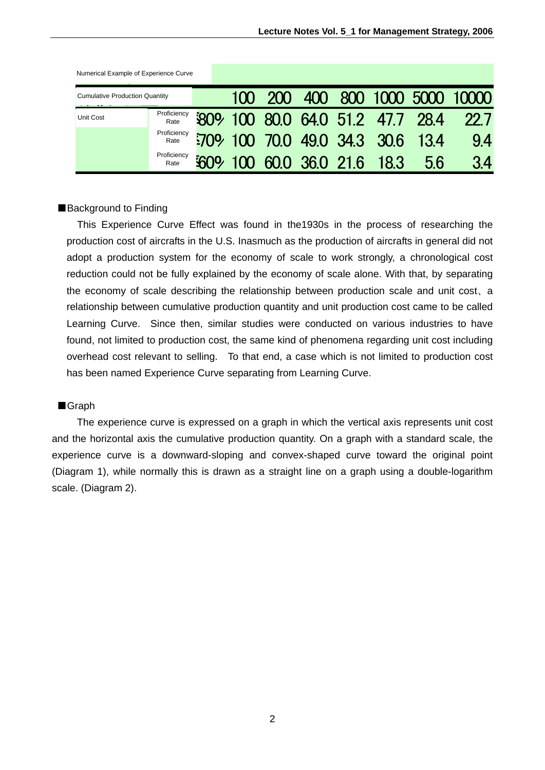| Numerical Example of Experience Curve |                     |            |  |  |                                  |    |                                 |
|---------------------------------------|---------------------|------------|--|--|----------------------------------|----|---------------------------------|
| <b>Cumulative Production Quantity</b> |                     |            |  |  |                                  |    | 100 200 400 800 1000 5000 10000 |
| Unit Cost                             | Proficiency<br>Rate |            |  |  | 809 100 80.0 64.0 51.2 47.7 28.4 |    | <b>22 7</b>                     |
|                                       | Proficiency<br>Rate |            |  |  | 5709 100 700 49.0 34.3 30.6 13.4 |    | 94                              |
|                                       | Proficiency<br>Rate | <b>SOO</b> |  |  | 100 60.0 36.0 21.6 18.3          | 56 | 34                              |

### ■Background to Finding

 This Experience Curve Effect was found in the1930s in the process of researching the production cost of aircrafts in the U.S. Inasmuch as the production of aircrafts in general did not adopt a production system for the economy of scale to work strongly, a chronological cost reduction could not be fully explained by the economy of scale alone. With that, by separating the economy of scale describing the relationship between production scale and unit cost、a relationship between cumulative production quantity and unit production cost came to be called Learning Curve. Since then, similar studies were conducted on various industries to have found, not limited to production cost, the same kind of phenomena regarding unit cost including overhead cost relevant to selling. To that end, a case which is not limited to production cost has been named Experience Curve separating from Learning Curve.

#### ■Graph

The experience curve is expressed on a graph in which the vertical axis represents unit cost and the horizontal axis the cumulative production quantity. On a graph with a standard scale, the experience curve is a downward-sloping and convex-shaped curve toward the original point (Diagram 1), while normally this is drawn as a straight line on a graph using a double-logarithm scale. (Diagram 2).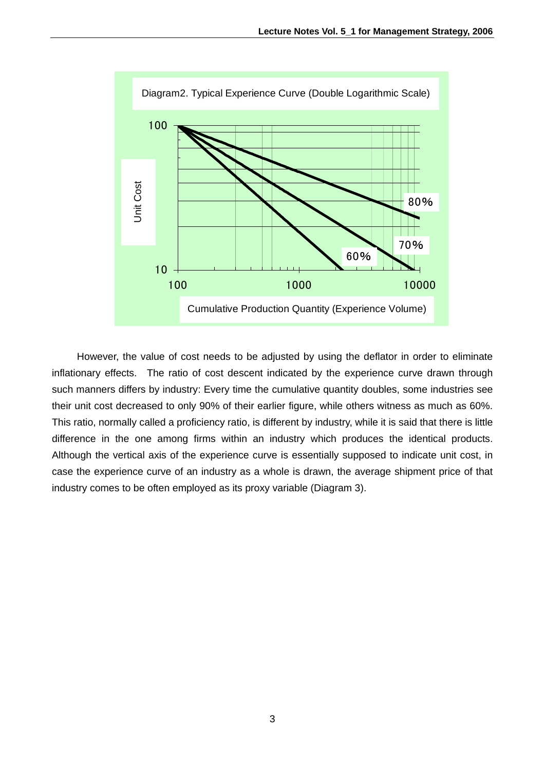

However, the value of cost needs to be adjusted by using the deflator in order to eliminate inflationary effects. The ratio of cost descent indicated by the experience curve drawn through such manners differs by industry: Every time the cumulative quantity doubles, some industries see their unit cost decreased to only 90% of their earlier figure, while others witness as much as 60%. This ratio, normally called a proficiency ratio, is different by industry, while it is said that there is little difference in the one among firms within an industry which produces the identical products. Although the vertical axis of the experience curve is essentially supposed to indicate unit cost, in case the experience curve of an industry as a whole is drawn, the average shipment price of that industry comes to be often employed as its proxy variable (Diagram 3).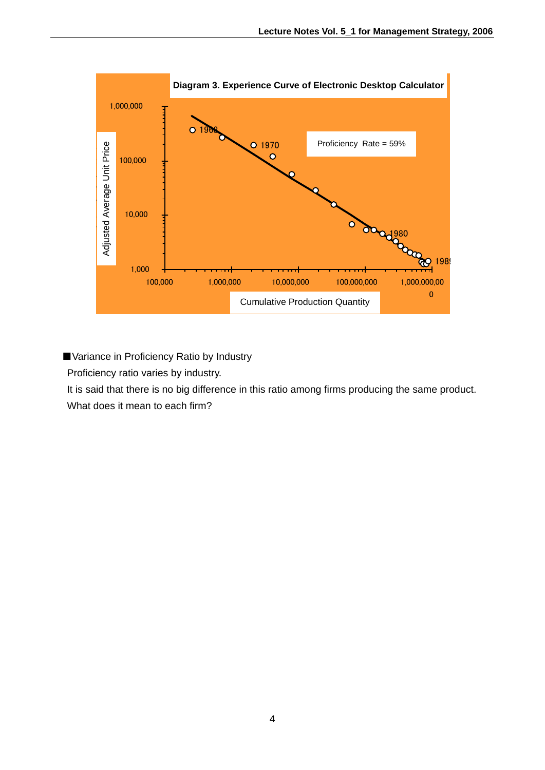

■ Variance in Proficiency Ratio by Industry

Proficiency ratio varies by industry.

It is said that there is no big difference in this ratio among firms producing the same product.

What does it mean to each firm?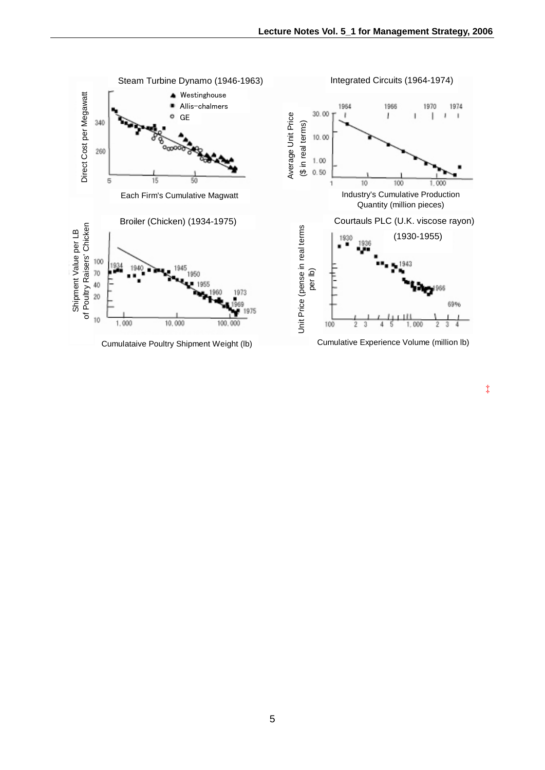

‡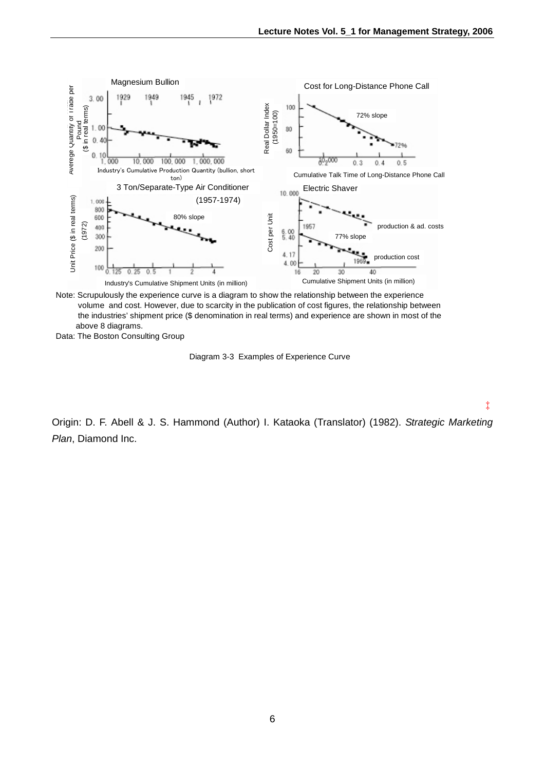‡



Note: Scrupulously the experience curve is a diagram to show the relationship between the experience volume and cost. However, due to scarcity in the publication of cost figures, the relationship between the industries' shipment price (\$ denomination in real terms) and experience are shown in most of the above 8 diagrams.

Data: The Boston Consulting Group

Diagram 3-3 Examples of Experience Curve

Origin: D. F. Abell & J. S. Hammond (Author) I. Kataoka (Translator) (1982). *Strategic Marketing Plan*, Diamond Inc.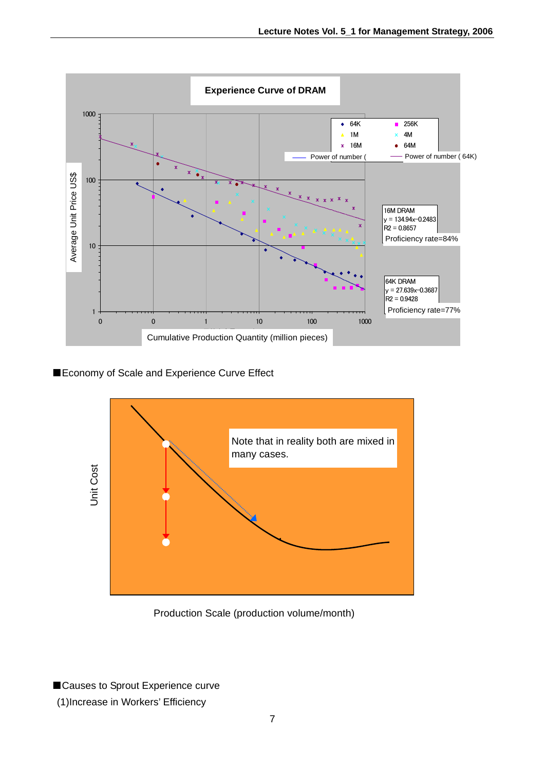

■Economy of Scale and Experience Curve Effect



Production Scale (production volume/month)

■Causes to Sprout Experience curve (1)Increase in Workers' Efficiency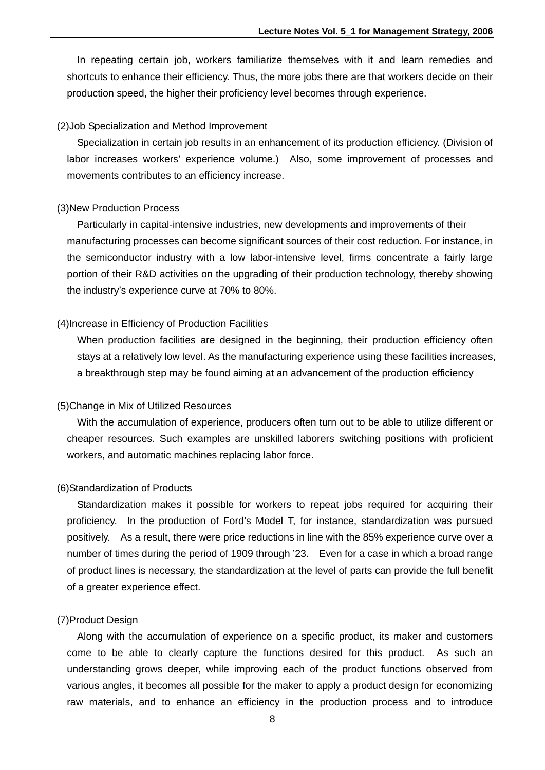In repeating certain job, workers familiarize themselves with it and learn remedies and shortcuts to enhance their efficiency. Thus, the more jobs there are that workers decide on their production speed, the higher their proficiency level becomes through experience.

#### (2)Job Specialization and Method Improvement

 Specialization in certain job results in an enhancement of its production efficiency. (Division of labor increases workers' experience volume.) Also, some improvement of processes and movements contributes to an efficiency increase.

#### (3)New Production Process

 Particularly in capital-intensive industries, new developments and improvements of their manufacturing processes can become significant sources of their cost reduction. For instance, in the semiconductor industry with a low labor-intensive level, firms concentrate a fairly large portion of their R&D activities on the upgrading of their production technology, thereby showing the industry's experience curve at 70% to 80%.

#### (4)Increase in Efficiency of Production Facilities

 When production facilities are designed in the beginning, their production efficiency often stays at a relatively low level. As the manufacturing experience using these facilities increases, a breakthrough step may be found aiming at an advancement of the production efficiency

### (5)Change in Mix of Utilized Resources

 With the accumulation of experience, producers often turn out to be able to utilize different or cheaper resources. Such examples are unskilled laborers switching positions with proficient workers, and automatic machines replacing labor force.

#### (6)Standardization of Products

 Standardization makes it possible for workers to repeat jobs required for acquiring their proficiency. In the production of Ford's Model T, for instance, standardization was pursued positively. As a result, there were price reductions in line with the 85% experience curve over a number of times during the period of 1909 through '23. Even for a case in which a broad range of product lines is necessary, the standardization at the level of parts can provide the full benefit of a greater experience effect.

#### (7)Product Design

 Along with the accumulation of experience on a specific product, its maker and customers come to be able to clearly capture the functions desired for this product. As such an understanding grows deeper, while improving each of the product functions observed from various angles, it becomes all possible for the maker to apply a product design for economizing raw materials, and to enhance an efficiency in the production process and to introduce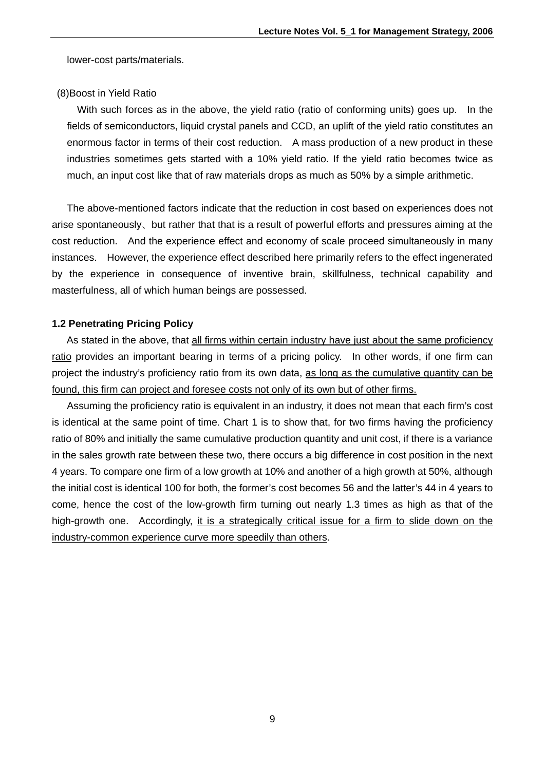lower-cost parts/materials.

#### (8)Boost in Yield Ratio

With such forces as in the above, the yield ratio (ratio of conforming units) goes up. In the fields of semiconductors, liquid crystal panels and CCD, an uplift of the yield ratio constitutes an enormous factor in terms of their cost reduction. A mass production of a new product in these industries sometimes gets started with a 10% yield ratio. If the yield ratio becomes twice as much, an input cost like that of raw materials drops as much as 50% by a simple arithmetic.

The above-mentioned factors indicate that the reduction in cost based on experiences does not arise spontaneously、but rather that that is a result of powerful efforts and pressures aiming at the cost reduction. And the experience effect and economy of scale proceed simultaneously in many instances. However, the experience effect described here primarily refers to the effect ingenerated by the experience in consequence of inventive brain, skillfulness, technical capability and masterfulness, all of which human beings are possessed.

#### **1.2 Penetrating Pricing Policy**

As stated in the above, that all firms within certain industry have just about the same proficiency ratio provides an important bearing in terms of a pricing policy. In other words, if one firm can project the industry's proficiency ratio from its own data, as long as the cumulative quantity can be found, this firm can project and foresee costs not only of its own but of other firms.

Assuming the proficiency ratio is equivalent in an industry, it does not mean that each firm's cost is identical at the same point of time. Chart 1 is to show that, for two firms having the proficiency ratio of 80% and initially the same cumulative production quantity and unit cost, if there is a variance in the sales growth rate between these two, there occurs a big difference in cost position in the next 4 years. To compare one firm of a low growth at 10% and another of a high growth at 50%, although the initial cost is identical 100 for both, the former's cost becomes 56 and the latter's 44 in 4 years to come, hence the cost of the low-growth firm turning out nearly 1.3 times as high as that of the high-growth one. Accordingly, it is a strategically critical issue for a firm to slide down on the industry-common experience curve more speedily than others.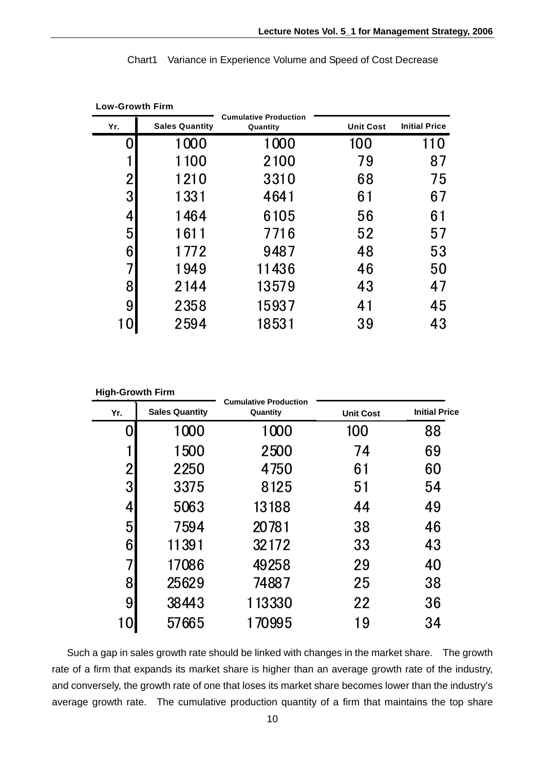| <b>Low-Growth Firm</b> |                       |                                          |                  |                      |
|------------------------|-----------------------|------------------------------------------|------------------|----------------------|
| Yr.                    | <b>Sales Quantity</b> | <b>Cumulative Production</b><br>Quantity | <b>Unit Cost</b> | <b>Initial Price</b> |
|                        | 1000                  | 1000                                     | 100              | 110                  |
|                        | 1100                  | 2100                                     | 79               | 87                   |
| $\overline{2}$         | 1210                  | 3310                                     | 68               | 75                   |
| 3                      | 1331                  | 4641                                     | 61               | 67                   |
| 4                      | 1464                  | 6105                                     | 56               | 61                   |
| 5                      | 1611                  | 7716                                     | 52               | 57                   |
| 6                      | 1772                  | 9487                                     | 48               | 53                   |
|                        | 1949                  | 11436                                    | 46               | 50                   |
| 8                      | 2144                  | 13579                                    | 43               | 47                   |
| 9                      | 2358                  | 15937                                    | 41               | 45                   |
|                        | 2594                  | 18531                                    | 39               | 43                   |

Chart1 Variance in Experience Volume and Speed of Cost Decrease

**High-Growth Firm** 

| Yr.              | <b>Sales Quantity</b> | <b>Cumulative Production</b><br>Quantity | <b>Unit Cost</b> | <b>Initial Price</b> |
|------------------|-----------------------|------------------------------------------|------------------|----------------------|
|                  | 1000                  | 1000                                     | 100              | 88                   |
|                  | 1500                  | 2500                                     | 74               | 69                   |
| $\overline{2}$   | 2250                  | 4750                                     | 61               | 60                   |
| 3                | 3375                  | 8125                                     | 51               | 54                   |
| 4                | 5063                  | 13188                                    | 44               | 49                   |
| 5                | 7594                  | 20781                                    | 38               | 46                   |
| $6 \overline{6}$ | 11391                 | 32172                                    | 33               | 43                   |
| 7                | 17086                 | 49258                                    | 29               | 40                   |
| 8                | 25629                 | 74887                                    | 25               | 38                   |
| 9                | 38443                 | 113330                                   | 22               | 36                   |
|                  | 57665                 | 170995                                   | 19               | 34                   |
|                  |                       |                                          |                  |                      |

Such a gap in sales growth rate should be linked with changes in the market share. The growth rate of a firm that expands its market share is higher than an average growth rate of the industry, and conversely, the growth rate of one that loses its market share becomes lower than the industry's average growth rate. The cumulative production quantity of a firm that maintains the top share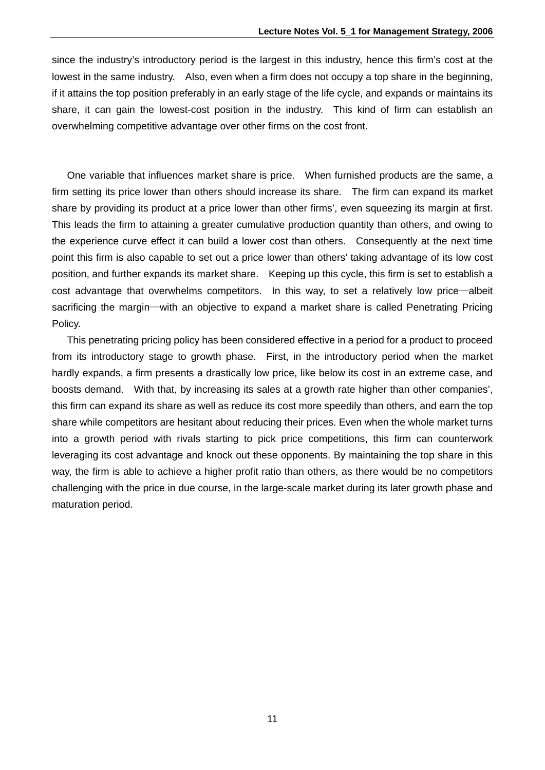since the industry's introductory period is the largest in this industry, hence this firm's cost at the lowest in the same industry. Also, even when a firm does not occupy a top share in the beginning, if it attains the top position preferably in an early stage of the life cycle, and expands or maintains its share, it can gain the lowest-cost position in the industry. This kind of firm can establish an overwhelming competitive advantage over other firms on the cost front.

 One variable that influences market share is price. When furnished products are the same, a firm setting its price lower than others should increase its share. The firm can expand its market share by providing its product at a price lower than other firms', even squeezing its margin at first. This leads the firm to attaining a greater cumulative production quantity than others, and owing to the experience curve effect it can build a lower cost than others. Consequently at the next time point this firm is also capable to set out a price lower than others' taking advantage of its low cost position, and further expands its market share. Keeping up this cycle, this firm is set to establish a cost advantage that overwhelms competitors. In this way, to set a relatively low price―albeit sacrificing the margin―with an objective to expand a market share is called Penetrating Pricing Policy.

 This penetrating pricing policy has been considered effective in a period for a product to proceed from its introductory stage to growth phase. First, in the introductory period when the market hardly expands, a firm presents a drastically low price, like below its cost in an extreme case, and boosts demand. With that, by increasing its sales at a growth rate higher than other companies', this firm can expand its share as well as reduce its cost more speedily than others, and earn the top share while competitors are hesitant about reducing their prices. Even when the whole market turns into a growth period with rivals starting to pick price competitions, this firm can counterwork leveraging its cost advantage and knock out these opponents. By maintaining the top share in this way, the firm is able to achieve a higher profit ratio than others, as there would be no competitors challenging with the price in due course, in the large-scale market during its later growth phase and maturation period.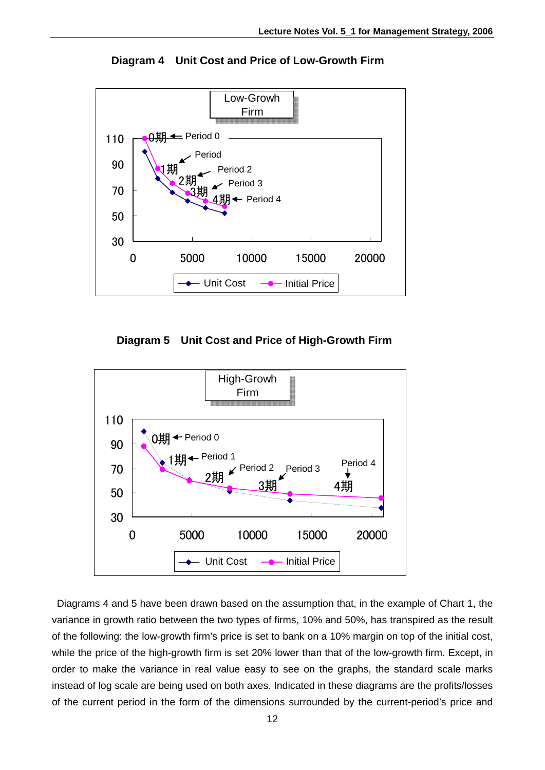

**Diagram 4 Unit Cost and Price of Low-Growth Firm** 

**Diagram 5 Unit Cost and Price of High-Growth Firm** 



 Diagrams 4 and 5 have been drawn based on the assumption that, in the example of Chart 1, the variance in growth ratio between the two types of firms, 10% and 50%, has transpired as the result of the following: the low-growth firm's price is set to bank on a 10% margin on top of the initial cost, while the price of the high-growth firm is set 20% lower than that of the low-growth firm. Except, in order to make the variance in real value easy to see on the graphs, the standard scale marks instead of log scale are being used on both axes. Indicated in these diagrams are the profits/losses of the current period in the form of the dimensions surrounded by the current-period's price and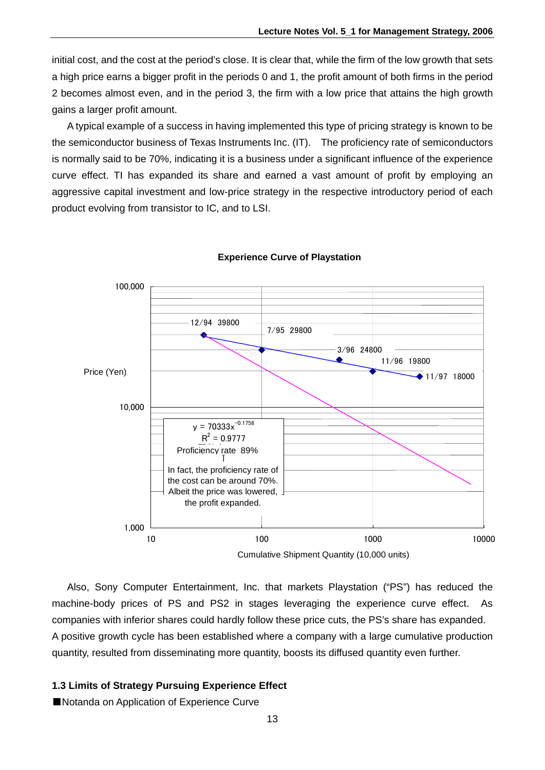initial cost, and the cost at the period's close. It is clear that, while the firm of the low growth that sets a high price earns a bigger profit in the periods 0 and 1, the profit amount of both firms in the period 2 becomes almost even, and in the period 3, the firm with a low price that attains the high growth gains a larger profit amount.

 A typical example of a success in having implemented this type of pricing strategy is known to be the semiconductor business of Texas Instruments Inc. (IT). The proficiency rate of semiconductors is normally said to be 70%, indicating it is a business under a significant influence of the experience curve effect. TI has expanded its share and earned a vast amount of profit by employing an aggressive capital investment and low-price strategy in the respective introductory period of each product evolving from transistor to IC, and to LSI.



### **Experience Curve of Playstation**

 Also, Sony Computer Entertainment, Inc. that markets Playstation ("PS") has reduced the machine-body prices of PS and PS2 in stages leveraging the experience curve effect. As companies with inferior shares could hardly follow these price cuts, the PS's share has expanded. A positive growth cycle has been established where a company with a large cumulative production quantity, resulted from disseminating more quantity, boosts its diffused quantity even further.

### **1.3 Limits of Strategy Pursuing Experience Effect**

■Notanda on Application of Experience Curve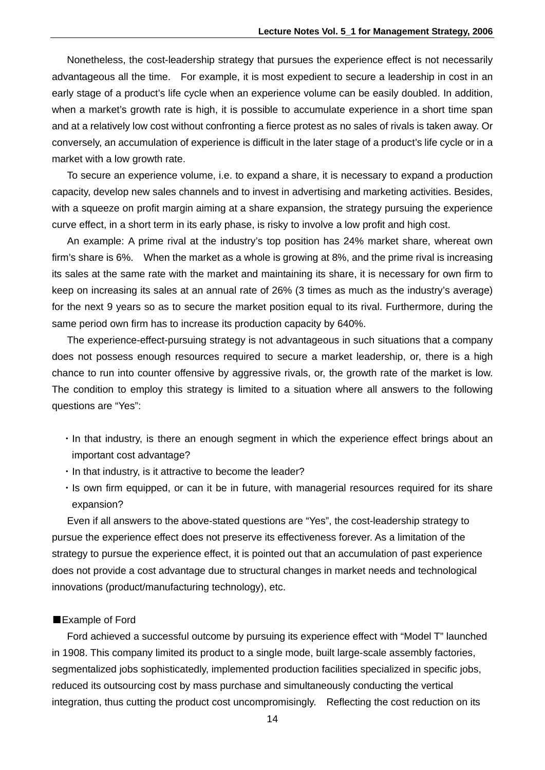Nonetheless, the cost-leadership strategy that pursues the experience effect is not necessarily advantageous all the time. For example, it is most expedient to secure a leadership in cost in an early stage of a product's life cycle when an experience volume can be easily doubled. In addition, when a market's growth rate is high, it is possible to accumulate experience in a short time span and at a relatively low cost without confronting a fierce protest as no sales of rivals is taken away. Or conversely, an accumulation of experience is difficult in the later stage of a product's life cycle or in a market with a low growth rate.

 To secure an experience volume, i.e. to expand a share, it is necessary to expand a production capacity, develop new sales channels and to invest in advertising and marketing activities. Besides, with a squeeze on profit margin aiming at a share expansion, the strategy pursuing the experience curve effect, in a short term in its early phase, is risky to involve a low profit and high cost.

 An example: A prime rival at the industry's top position has 24% market share, whereat own firm's share is 6%. When the market as a whole is growing at 8%, and the prime rival is increasing its sales at the same rate with the market and maintaining its share, it is necessary for own firm to keep on increasing its sales at an annual rate of 26% (3 times as much as the industry's average) for the next 9 years so as to secure the market position equal to its rival. Furthermore, during the same period own firm has to increase its production capacity by 640%.

 The experience-effect-pursuing strategy is not advantageous in such situations that a company does not possess enough resources required to secure a market leadership, or, there is a high chance to run into counter offensive by aggressive rivals, or, the growth rate of the market is low. The condition to employ this strategy is limited to a situation where all answers to the following questions are "Yes":

- ・In that industry, is there an enough segment in which the experience effect brings about an important cost advantage?
- ・In that industry, is it attractive to become the leader?
- ・Is own firm equipped, or can it be in future, with managerial resources required for its share expansion?

 Even if all answers to the above-stated questions are "Yes", the cost-leadership strategy to pursue the experience effect does not preserve its effectiveness forever. As a limitation of the strategy to pursue the experience effect, it is pointed out that an accumulation of past experience does not provide a cost advantage due to structural changes in market needs and technological innovations (product/manufacturing technology), etc.

#### ■Example of Ford

 Ford achieved a successful outcome by pursuing its experience effect with "Model T" launched in 1908. This company limited its product to a single mode, built large-scale assembly factories, segmentalized jobs sophisticatedly, implemented production facilities specialized in specific jobs, reduced its outsourcing cost by mass purchase and simultaneously conducting the vertical integration, thus cutting the product cost uncompromisingly. Reflecting the cost reduction on its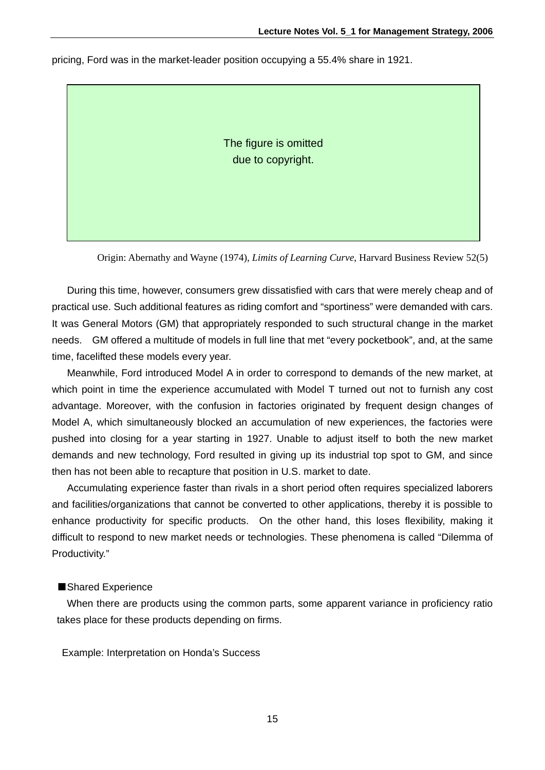pricing, Ford was in the market-leader position occupying a 55.4% share in 1921.

The figure is omitted due to copyright.

Origin: Abernathy and Wayne (1974), *Limits of Learning Curve*, Harvard Business Review 52(5)

 During this time, however, consumers grew dissatisfied with cars that were merely cheap and of practical use. Such additional features as riding comfort and "sportiness" were demanded with cars. It was General Motors (GM) that appropriately responded to such structural change in the market needs. GM offered a multitude of models in full line that met "every pocketbook", and, at the same time, facelifted these models every year.

 Meanwhile, Ford introduced Model A in order to correspond to demands of the new market, at which point in time the experience accumulated with Model T turned out not to furnish any cost advantage. Moreover, with the confusion in factories originated by frequent design changes of Model A, which simultaneously blocked an accumulation of new experiences, the factories were pushed into closing for a year starting in 1927. Unable to adjust itself to both the new market demands and new technology, Ford resulted in giving up its industrial top spot to GM, and since then has not been able to recapture that position in U.S. market to date.

 Accumulating experience faster than rivals in a short period often requires specialized laborers and facilities/organizations that cannot be converted to other applications, thereby it is possible to enhance productivity for specific products. On the other hand, this loses flexibility, making it difficult to respond to new market needs or technologies. These phenomena is called "Dilemma of Productivity."

#### ■Shared Experience

 When there are products using the common parts, some apparent variance in proficiency ratio takes place for these products depending on firms.

Example: Interpretation on Honda's Success

15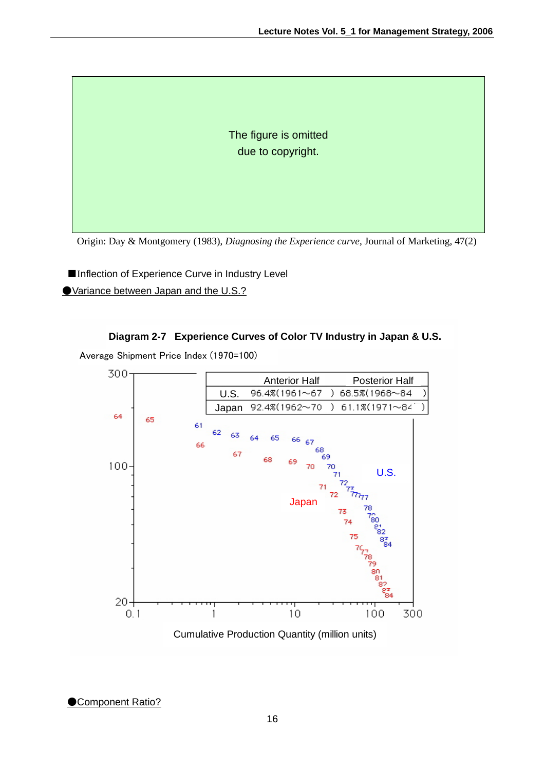The figure is omitted due to copyright.

Origin: Day & Montgomery (1983), *Diagnosing the Experience curve*, Journal of Marketing, 47(2)

■Inflection of Experience Curve in Industry Level ●Variance between Japan and the U.S.?

## **Diagram 2-7 Experience Curves of Color TV Industry in Japan & U.S.**

Average Shipment Price Index (1970=100)



**Component Ratio?**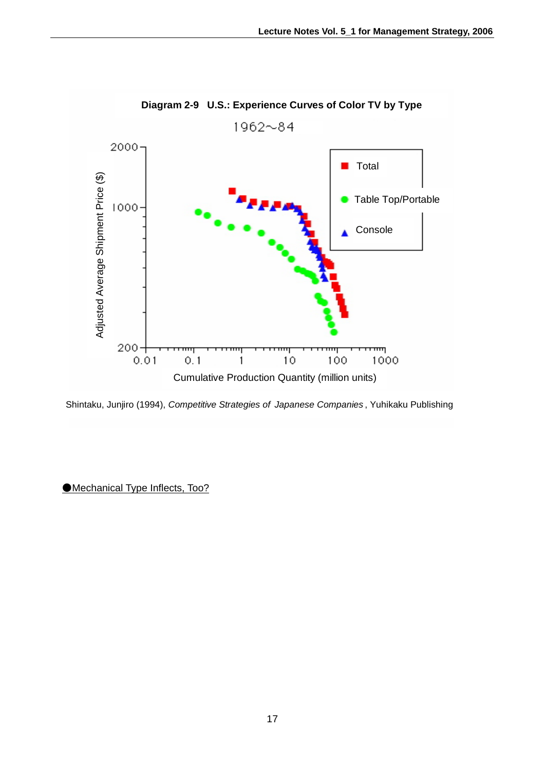

## **Diagram 2-9 U.S.: Experience Curves of Color TV by Type**

Shintaku, Junjiro (1994), *Competitive Strategies of Japanese Companies* , Yuhikaku Publishing

●Mechanical Type Inflects, Too?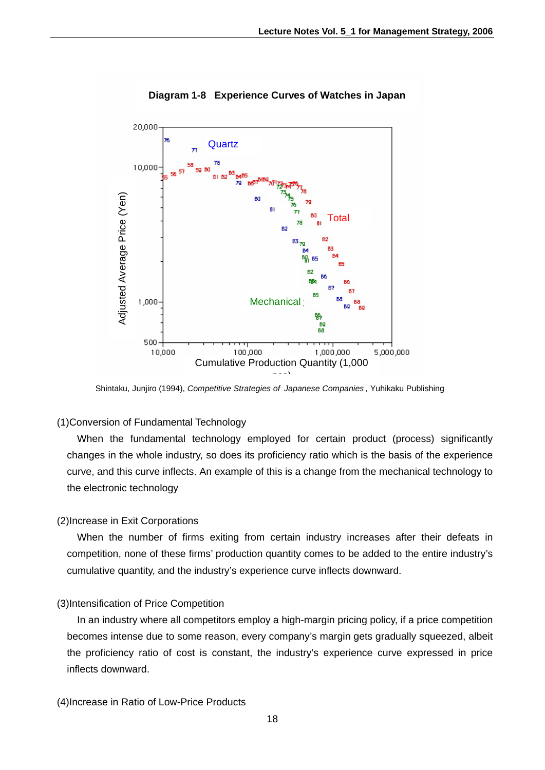

## **Diagram 1-8 Experience Curves of Watches in Japan**

## (1)Conversion of Fundamental Technology

 When the fundamental technology employed for certain product (process) significantly changes in the whole industry, so does its proficiency ratio which is the basis of the experience curve, and this curve inflects. An example of this is a change from the mechanical technology to the electronic technology

## (2)Increase in Exit Corporations

 When the number of firms exiting from certain industry increases after their defeats in competition, none of these firms' production quantity comes to be added to the entire industry's cumulative quantity, and the industry's experience curve inflects downward.

## (3)Intensification of Price Competition

 In an industry where all competitors employ a high-margin pricing policy, if a price competition becomes intense due to some reason, every company's margin gets gradually squeezed, albeit the proficiency ratio of cost is constant, the industry's experience curve expressed in price inflects downward.

(4)Increase in Ratio of Low-Price Products